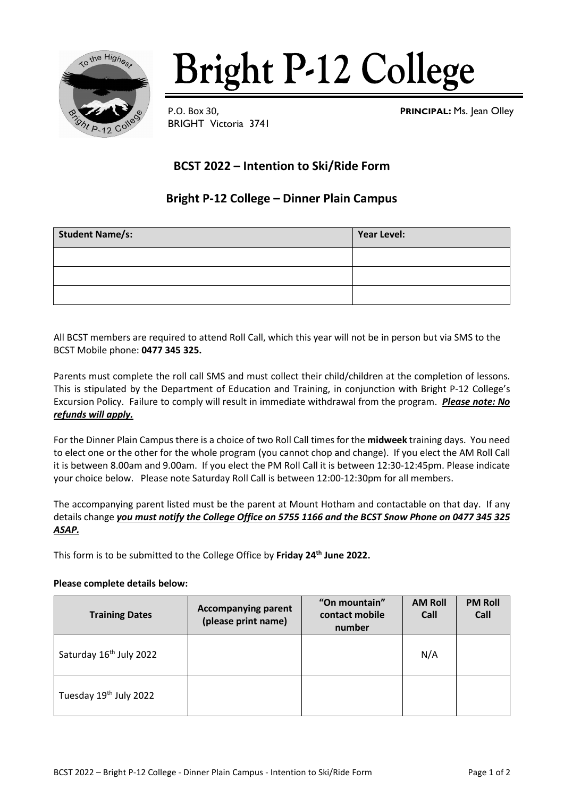

# **Bright P-12 College**

BRIGHT Victoria 3741

P.O. Box 30, **PRINCIPAL:** Ms. Jean Olley

## **BCST 2022 – Intention to Ski/Ride Form**

### **Bright P-12 College – Dinner Plain Campus**

| <b>Student Name/s:</b> | Year Level: |
|------------------------|-------------|
|                        |             |
|                        |             |
|                        |             |

All BCST members are required to attend Roll Call, which this year will not be in person but via SMS to the BCST Mobile phone: **0477 345 325.**

Parents must complete the roll call SMS and must collect their child/children at the completion of lessons. This is stipulated by the Department of Education and Training, in conjunction with Bright P-12 College's Excursion Policy. Failure to comply will result in immediate withdrawal from the program. *Please note: No refunds will apply.*

For the Dinner Plain Campus there is a choice of two Roll Call times for the **midweek** training days. You need to elect one or the other for the whole program (you cannot chop and change). If you elect the AM Roll Call it is between 8.00am and 9.00am. If you elect the PM Roll Call it is between 12:30-12:45pm. Please indicate your choice below. Please note Saturday Roll Call is between 12:00-12:30pm for all members.

The accompanying parent listed must be the parent at Mount Hotham and contactable on that day. If any details change *you must notify the College Office on 5755 1166 and the BCST Snow Phone on 0477 345 325 ASAP.*

This form is to be submitted to the College Office by **Friday 24th June 2022.**

#### **Please complete details below:**

| <b>Training Dates</b>               | <b>Accompanying parent</b><br>(please print name) | "On mountain"<br>contact mobile<br>number | <b>AM Roll</b><br>Call | <b>PM Roll</b><br>Call |
|-------------------------------------|---------------------------------------------------|-------------------------------------------|------------------------|------------------------|
| Saturday 16 <sup>th</sup> July 2022 |                                                   |                                           | N/A                    |                        |
| Tuesday 19th July 2022              |                                                   |                                           |                        |                        |